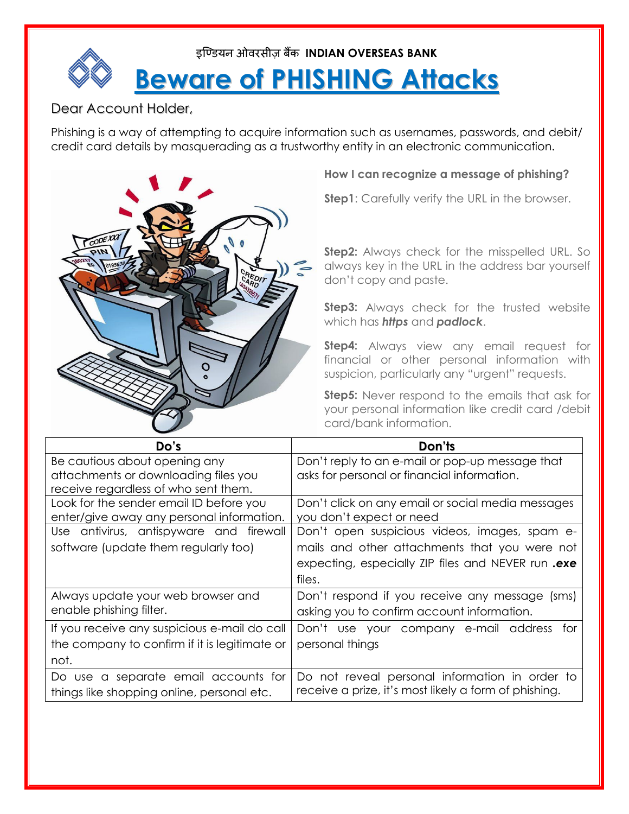

## Dear Account Holder,

Phishing is a way of attempting to acquire information such as usernames, passwords, and debit/ credit card details by masquerading as a trustworthy entity in an electronic communication.



### **How I can recognize a message of phishing?**

**Step1**: Carefully verify the URL in the browser.

**Step2:** Always check for the misspelled URL. So always key in the URL in the address bar yourself don't copy and paste.

**Step3:** Always check for the trusted website which has *https* and *padlock*.

**Step4:** Always view any email request for financial or other personal information with suspicion, particularly any "urgent" requests.

**Step5:** Never respond to the emails that ask for your personal information like credit card /debit card/bank information.

| Do's                                          | Don'ts                                                |
|-----------------------------------------------|-------------------------------------------------------|
| Be cautious about opening any                 | Don't reply to an e-mail or pop-up message that       |
| attachments or downloading files you          | asks for personal or financial information.           |
| receive regardless of who sent them.          |                                                       |
| Look for the sender email ID before you       | Don't click on any email or social media messages     |
| enter/give away any personal information.     | you don't expect or need                              |
| Use antivirus, antispyware and firewall       | Don't open suspicious videos, images, spam e-         |
| software (update them regularly too)          | mails and other attachments that you were not         |
|                                               | expecting, especially ZIP files and NEVER run.exe     |
|                                               | files.                                                |
| Always update your web browser and            | Don't respond if you receive any message<br>(sms)     |
| enable phishing filter.                       | asking you to confirm account information.            |
| If you receive any suspicious e-mail do call  | Don't use your company e-mail address<br>tor          |
| the company to confirm if it is legitimate or | personal things                                       |
| not.                                          |                                                       |
| Do use a separate email accounts for          | Do not reveal personal information in order to        |
| things like shopping online, personal etc.    | receive a prize, it's most likely a form of phishing. |